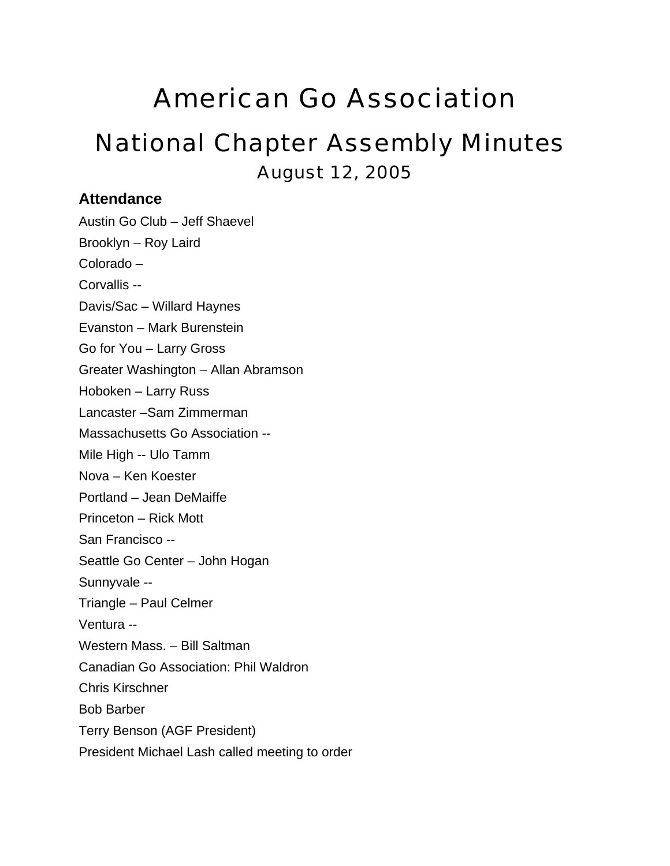# American Go Association

# National Chapter Assembly Minutes August 12, 2005

## **Attendance**

Austin Go Club – Jeff Shaevel Brooklyn – Roy Laird Colorado – Corvallis -- Davis/Sac – Willard Haynes Evanston – Mark Burenstein Go for You – Larry Gross Greater Washington – Allan Abramson Hoboken – Larry Russ Lancaster –Sam Zimmerman Massachusetts Go Association -- Mile High -- Ulo Tamm Nova – Ken Koester Portland – Jean DeMaiffe Princeton – Rick Mott San Francisco -- Seattle Go Center – John Hogan Sunnyvale -- Triangle – Paul Celmer Ventura -- Western Mass. – Bill Saltman Canadian Go Association: Phil Waldron Chris Kirschner Bob Barber Terry Benson (AGF President) President Michael Lash called meeting to order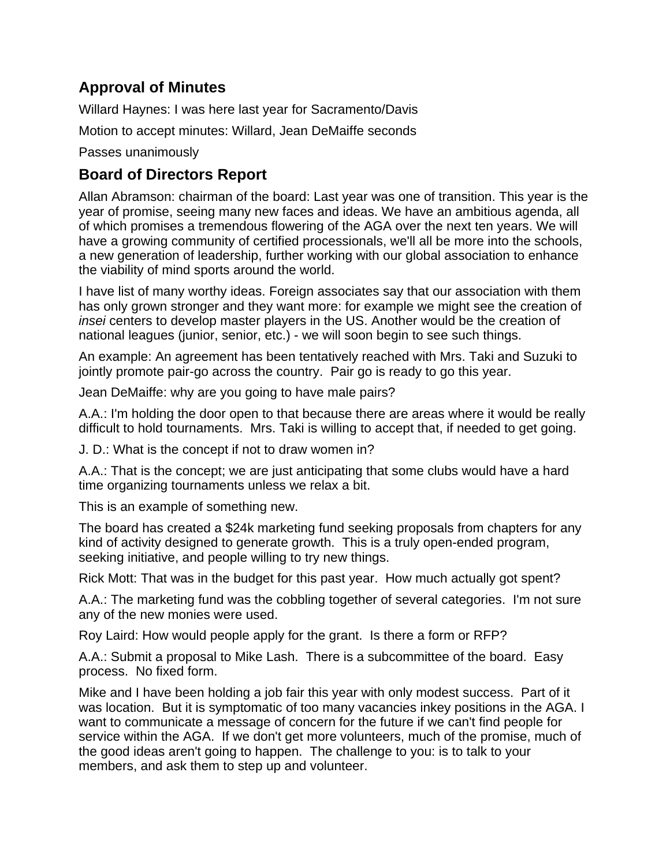## **Approval of Minutes**

Willard Haynes: I was here last year for Sacramento/Davis

Motion to accept minutes: Willard, Jean DeMaiffe seconds

Passes unanimously

## **Board of Directors Report**

Allan Abramson: chairman of the board: Last year was one of transition. This year is the year of promise, seeing many new faces and ideas. We have an ambitious agenda, all of which promises a tremendous flowering of the AGA over the next ten years. We will have a growing community of certified processionals, we'll all be more into the schools, a new generation of leadership, further working with our global association to enhance the viability of mind sports around the world.

I have list of many worthy ideas. Foreign associates say that our association with them has only grown stronger and they want more: for example we might see the creation of *insei* centers to develop master players in the US. Another would be the creation of national leagues (junior, senior, etc.) - we will soon begin to see such things.

An example: An agreement has been tentatively reached with Mrs. Taki and Suzuki to jointly promote pair-go across the country. Pair go is ready to go this year.

Jean DeMaiffe: why are you going to have male pairs?

A.A.: I'm holding the door open to that because there are areas where it would be really difficult to hold tournaments. Mrs. Taki is willing to accept that, if needed to get going.

J. D.: What is the concept if not to draw women in?

A.A.: That is the concept; we are just anticipating that some clubs would have a hard time organizing tournaments unless we relax a bit.

This is an example of something new.

The board has created a \$24k marketing fund seeking proposals from chapters for any kind of activity designed to generate growth. This is a truly open-ended program, seeking initiative, and people willing to try new things.

Rick Mott: That was in the budget for this past year. How much actually got spent?

A.A.: The marketing fund was the cobbling together of several categories. I'm not sure any of the new monies were used.

Roy Laird: How would people apply for the grant. Is there a form or RFP?

A.A.: Submit a proposal to Mike Lash. There is a subcommittee of the board. Easy process. No fixed form.

Mike and I have been holding a job fair this year with only modest success. Part of it was location. But it is symptomatic of too many vacancies inkey positions in the AGA. I want to communicate a message of concern for the future if we can't find people for service within the AGA. If we don't get more volunteers, much of the promise, much of the good ideas aren't going to happen. The challenge to you: is to talk to your members, and ask them to step up and volunteer.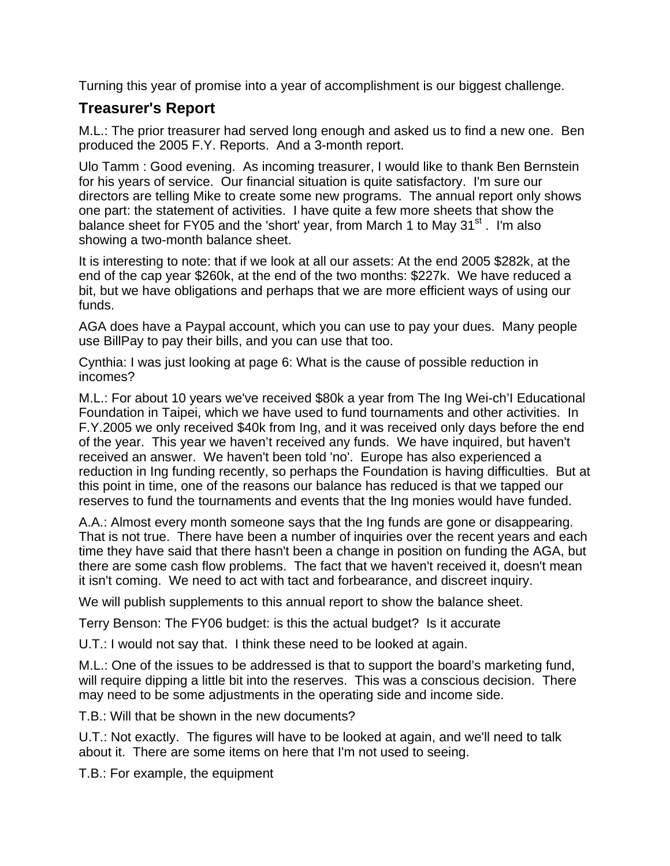Turning this year of promise into a year of accomplishment is our biggest challenge.

## **Treasurer's Report**

M.L.: The prior treasurer had served long enough and asked us to find a new one. Ben produced the 2005 F.Y. Reports. And a 3-month report.

Ulo Tamm : Good evening. As incoming treasurer, I would like to thank Ben Bernstein for his years of service. Our financial situation is quite satisfactory. I'm sure our directors are telling Mike to create some new programs. The annual report only shows one part: the statement of activities. I have quite a few more sheets that show the balance sheet for FY05 and the 'short' year, from March 1 to May  $31<sup>st</sup>$ . I'm also showing a two-month balance sheet.

It is interesting to note: that if we look at all our assets: At the end 2005 \$282k, at the end of the cap year \$260k, at the end of the two months: \$227k. We have reduced a bit, but we have obligations and perhaps that we are more efficient ways of using our funds.

AGA does have a Paypal account, which you can use to pay your dues. Many people use BillPay to pay their bills, and you can use that too.

Cynthia: I was just looking at page 6: What is the cause of possible reduction in incomes?

M.L.: For about 10 years we've received \$80k a year from The Ing Wei-ch'I Educational Foundation in Taipei, which we have used to fund tournaments and other activities. In F.Y.2005 we only received \$40k from Ing, and it was received only days before the end of the year. This year we haven't received any funds. We have inquired, but haven't received an answer. We haven't been told 'no'. Europe has also experienced a reduction in Ing funding recently, so perhaps the Foundation is having difficulties. But at this point in time, one of the reasons our balance has reduced is that we tapped our reserves to fund the tournaments and events that the Ing monies would have funded.

A.A.: Almost every month someone says that the Ing funds are gone or disappearing. That is not true. There have been a number of inquiries over the recent years and each time they have said that there hasn't been a change in position on funding the AGA, but there are some cash flow problems. The fact that we haven't received it, doesn't mean it isn't coming. We need to act with tact and forbearance, and discreet inquiry.

We will publish supplements to this annual report to show the balance sheet.

Terry Benson: The FY06 budget: is this the actual budget? Is it accurate

U.T.: I would not say that. I think these need to be looked at again.

M.L.: One of the issues to be addressed is that to support the board's marketing fund, will require dipping a little bit into the reserves. This was a conscious decision. There may need to be some adjustments in the operating side and income side.

T.B.: Will that be shown in the new documents?

U.T.: Not exactly. The figures will have to be looked at again, and we'll need to talk about it. There are some items on here that I'm not used to seeing.

T.B.: For example, the equipment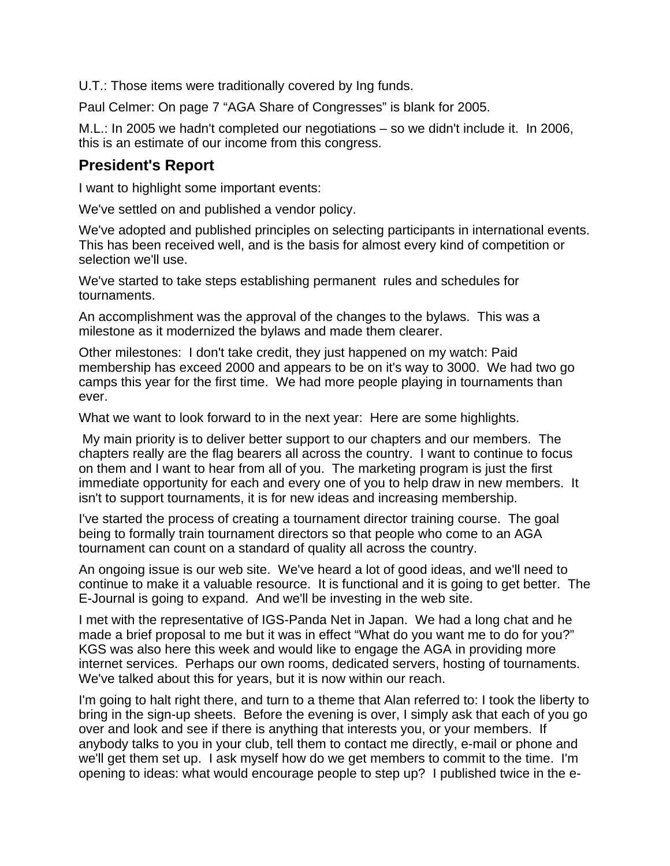U.T.: Those items were traditionally covered by Ing funds.

Paul Celmer: On page 7 "AGA Share of Congresses" is blank for 2005.

M.L.: In 2005 we hadn't completed our negotiations – so we didn't include it. In 2006, this is an estimate of our income from this congress.

## **President's Report**

I want to highlight some important events:

We've settled on and published a vendor policy.

We've adopted and published principles on selecting participants in international events. This has been received well, and is the basis for almost every kind of competition or selection we'll use.

We've started to take steps establishing permanent rules and schedules for tournaments.

An accomplishment was the approval of the changes to the bylaws. This was a milestone as it modernized the bylaws and made them clearer.

Other milestones: I don't take credit, they just happened on my watch: Paid membership has exceed 2000 and appears to be on it's way to 3000. We had two go camps this year for the first time. We had more people playing in tournaments than ever.

What we want to look forward to in the next year: Here are some highlights.

 My main priority is to deliver better support to our chapters and our members. The chapters really are the flag bearers all across the country. I want to continue to focus on them and I want to hear from all of you. The marketing program is just the first immediate opportunity for each and every one of you to help draw in new members. It isn't to support tournaments, it is for new ideas and increasing membership.

I've started the process of creating a tournament director training course. The goal being to formally train tournament directors so that people who come to an AGA tournament can count on a standard of quality all across the country.

An ongoing issue is our web site. We've heard a lot of good ideas, and we'll need to continue to make it a valuable resource. It is functional and it is going to get better. The E-Journal is going to expand. And we'll be investing in the web site.

I met with the representative of IGS-Panda Net in Japan. We had a long chat and he made a brief proposal to me but it was in effect "What do you want me to do for you?" KGS was also here this week and would like to engage the AGA in providing more internet services. Perhaps our own rooms, dedicated servers, hosting of tournaments. We've talked about this for years, but it is now within our reach.

I'm going to halt right there, and turn to a theme that Alan referred to: I took the liberty to bring in the sign-up sheets. Before the evening is over, I simply ask that each of you go over and look and see if there is anything that interests you, or your members. If anybody talks to you in your club, tell them to contact me directly, e-mail or phone and we'll get them set up. I ask myself how do we get members to commit to the time. I'm opening to ideas: what would encourage people to step up? I published twice in the e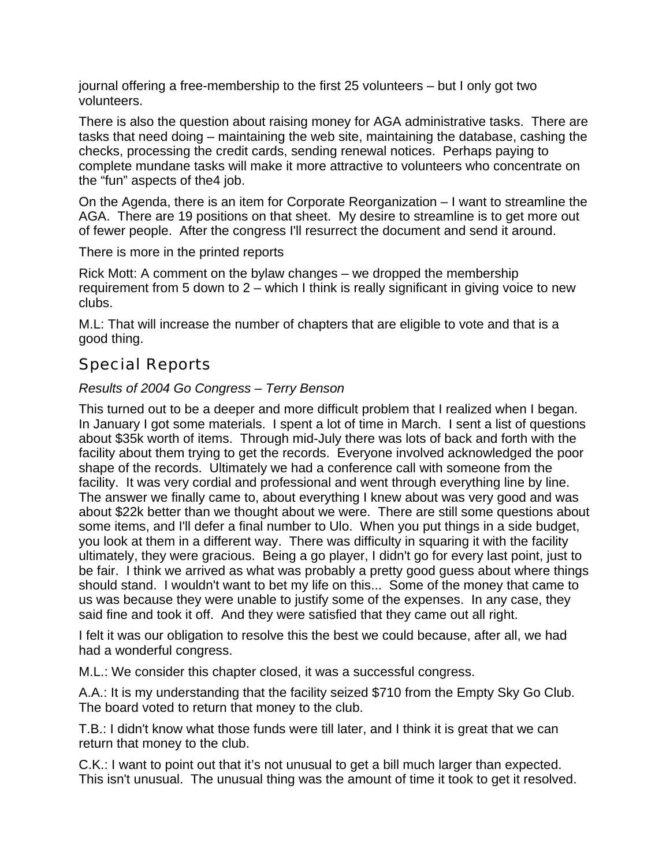journal offering a free-membership to the first 25 volunteers – but I only got two volunteers.

There is also the question about raising money for AGA administrative tasks. There are tasks that need doing – maintaining the web site, maintaining the database, cashing the checks, processing the credit cards, sending renewal notices. Perhaps paying to complete mundane tasks will make it more attractive to volunteers who concentrate on the "fun" aspects of the4 job.

On the Agenda, there is an item for Corporate Reorganization – I want to streamline the AGA. There are 19 positions on that sheet. My desire to streamline is to get more out of fewer people. After the congress I'll resurrect the document and send it around.

There is more in the printed reports

Rick Mott: A comment on the bylaw changes – we dropped the membership requirement from 5 down to 2 – which I think is really significant in giving voice to new clubs.

M.L: That will increase the number of chapters that are eligible to vote and that is a good thing.

## Special Reports

### *Results of 2004 Go Congress – Terry Benson*

This turned out to be a deeper and more difficult problem that I realized when I began. In January I got some materials. I spent a lot of time in March. I sent a list of questions about \$35k worth of items. Through mid-July there was lots of back and forth with the facility about them trying to get the records. Everyone involved acknowledged the poor shape of the records. Ultimately we had a conference call with someone from the facility. It was very cordial and professional and went through everything line by line. The answer we finally came to, about everything I knew about was very good and was about \$22k better than we thought about we were. There are still some questions about some items, and I'll defer a final number to Ulo. When you put things in a side budget, you look at them in a different way. There was difficulty in squaring it with the facility ultimately, they were gracious. Being a go player, I didn't go for every last point, just to be fair. I think we arrived as what was probably a pretty good guess about where things should stand. I wouldn't want to bet my life on this... Some of the money that came to us was because they were unable to justify some of the expenses. In any case, they said fine and took it off. And they were satisfied that they came out all right.

I felt it was our obligation to resolve this the best we could because, after all, we had had a wonderful congress.

M.L.: We consider this chapter closed, it was a successful congress.

A.A.: It is my understanding that the facility seized \$710 from the Empty Sky Go Club. The board voted to return that money to the club.

T.B.: I didn't know what those funds were till later, and I think it is great that we can return that money to the club.

C.K.: I want to point out that it's not unusual to get a bill much larger than expected. This isn't unusual. The unusual thing was the amount of time it took to get it resolved.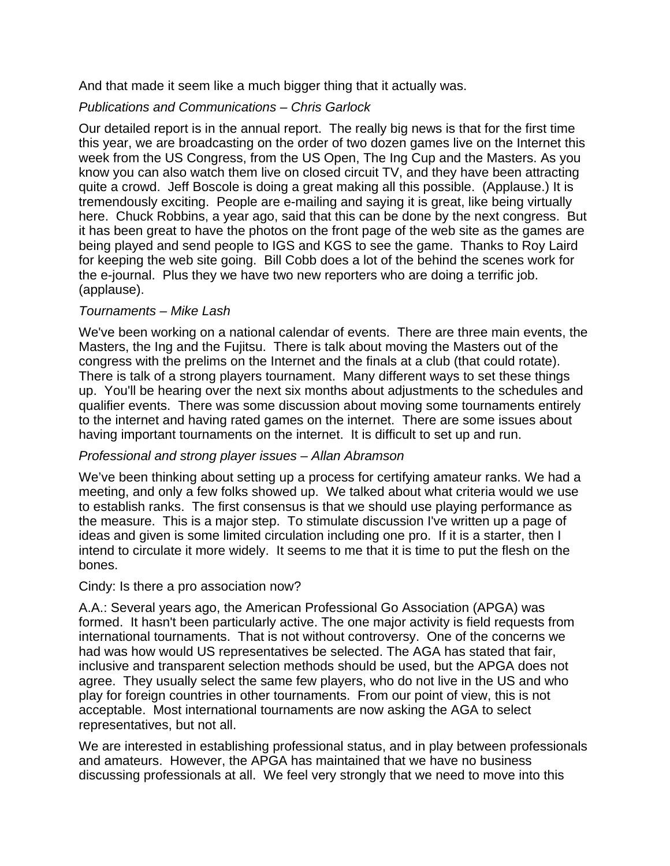And that made it seem like a much bigger thing that it actually was.

#### *Publications and Communications – Chris Garlock*

Our detailed report is in the annual report. The really big news is that for the first time this year, we are broadcasting on the order of two dozen games live on the Internet this week from the US Congress, from the US Open, The Ing Cup and the Masters. As you know you can also watch them live on closed circuit TV, and they have been attracting quite a crowd. Jeff Boscole is doing a great making all this possible. (Applause.) It is tremendously exciting. People are e-mailing and saying it is great, like being virtually here. Chuck Robbins, a year ago, said that this can be done by the next congress. But it has been great to have the photos on the front page of the web site as the games are being played and send people to IGS and KGS to see the game. Thanks to Roy Laird for keeping the web site going. Bill Cobb does a lot of the behind the scenes work for the e-journal. Plus they we have two new reporters who are doing a terrific job. (applause).

#### *Tournaments – Mike Lash*

We've been working on a national calendar of events. There are three main events, the Masters, the Ing and the Fujitsu. There is talk about moving the Masters out of the congress with the prelims on the Internet and the finals at a club (that could rotate). There is talk of a strong players tournament. Many different ways to set these things up. You'll be hearing over the next six months about adjustments to the schedules and qualifier events. There was some discussion about moving some tournaments entirely to the internet and having rated games on the internet. There are some issues about having important tournaments on the internet. It is difficult to set up and run.

#### *Professional and strong player issues – Allan Abramson*

We've been thinking about setting up a process for certifying amateur ranks. We had a meeting, and only a few folks showed up. We talked about what criteria would we use to establish ranks. The first consensus is that we should use playing performance as the measure. This is a major step. To stimulate discussion I've written up a page of ideas and given is some limited circulation including one pro. If it is a starter, then I intend to circulate it more widely. It seems to me that it is time to put the flesh on the bones.

#### Cindy: Is there a pro association now?

A.A.: Several years ago, the American Professional Go Association (APGA) was formed. It hasn't been particularly active. The one major activity is field requests from international tournaments. That is not without controversy. One of the concerns we had was how would US representatives be selected. The AGA has stated that fair, inclusive and transparent selection methods should be used, but the APGA does not agree. They usually select the same few players, who do not live in the US and who play for foreign countries in other tournaments. From our point of view, this is not acceptable. Most international tournaments are now asking the AGA to select representatives, but not all.

We are interested in establishing professional status, and in play between professionals and amateurs. However, the APGA has maintained that we have no business discussing professionals at all. We feel very strongly that we need to move into this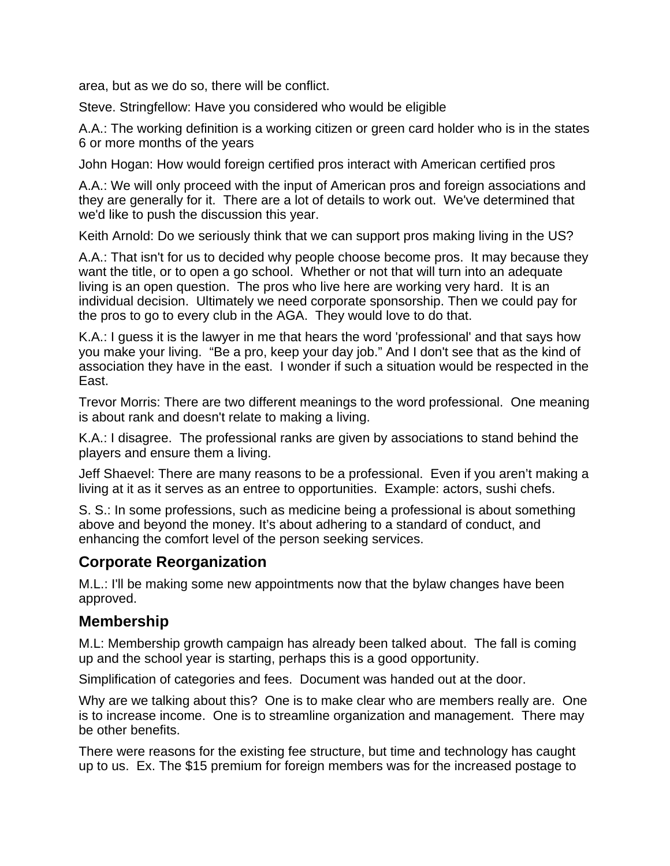area, but as we do so, there will be conflict.

Steve. Stringfellow: Have you considered who would be eligible

A.A.: The working definition is a working citizen or green card holder who is in the states 6 or more months of the years

John Hogan: How would foreign certified pros interact with American certified pros

A.A.: We will only proceed with the input of American pros and foreign associations and they are generally for it. There are a lot of details to work out. We've determined that we'd like to push the discussion this year.

Keith Arnold: Do we seriously think that we can support pros making living in the US?

A.A.: That isn't for us to decided why people choose become pros. It may because they want the title, or to open a go school. Whether or not that will turn into an adequate living is an open question. The pros who live here are working very hard. It is an individual decision. Ultimately we need corporate sponsorship. Then we could pay for the pros to go to every club in the AGA. They would love to do that.

K.A.: I guess it is the lawyer in me that hears the word 'professional' and that says how you make your living. "Be a pro, keep your day job." And I don't see that as the kind of association they have in the east. I wonder if such a situation would be respected in the East.

Trevor Morris: There are two different meanings to the word professional. One meaning is about rank and doesn't relate to making a living.

K.A.: I disagree. The professional ranks are given by associations to stand behind the players and ensure them a living.

Jeff Shaevel: There are many reasons to be a professional. Even if you aren't making a living at it as it serves as an entree to opportunities. Example: actors, sushi chefs.

S. S.: In some professions, such as medicine being a professional is about something above and beyond the money. It's about adhering to a standard of conduct, and enhancing the comfort level of the person seeking services.

## **Corporate Reorganization**

M.L.: I'll be making some new appointments now that the bylaw changes have been approved.

#### **Membership**

M.L: Membership growth campaign has already been talked about. The fall is coming up and the school year is starting, perhaps this is a good opportunity.

Simplification of categories and fees. Document was handed out at the door.

Why are we talking about this? One is to make clear who are members really are. One is to increase income. One is to streamline organization and management. There may be other benefits.

There were reasons for the existing fee structure, but time and technology has caught up to us. Ex. The \$15 premium for foreign members was for the increased postage to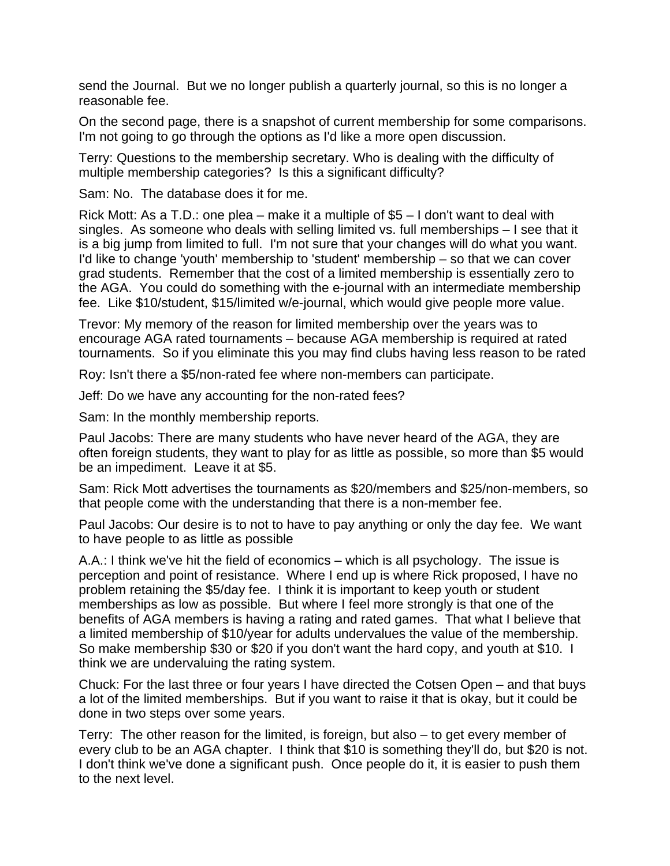send the Journal. But we no longer publish a quarterly journal, so this is no longer a reasonable fee.

On the second page, there is a snapshot of current membership for some comparisons. I'm not going to go through the options as I'd like a more open discussion.

Terry: Questions to the membership secretary. Who is dealing with the difficulty of multiple membership categories? Is this a significant difficulty?

Sam: No. The database does it for me.

Rick Mott: As a T.D.: one plea – make it a multiple of \$5 – I don't want to deal with singles. As someone who deals with selling limited vs. full memberships – I see that it is a big jump from limited to full. I'm not sure that your changes will do what you want. I'd like to change 'youth' membership to 'student' membership – so that we can cover grad students. Remember that the cost of a limited membership is essentially zero to the AGA. You could do something with the e-journal with an intermediate membership fee. Like \$10/student, \$15/limited w/e-journal, which would give people more value.

Trevor: My memory of the reason for limited membership over the years was to encourage AGA rated tournaments – because AGA membership is required at rated tournaments. So if you eliminate this you may find clubs having less reason to be rated

Roy: Isn't there a \$5/non-rated fee where non-members can participate.

Jeff: Do we have any accounting for the non-rated fees?

Sam: In the monthly membership reports.

Paul Jacobs: There are many students who have never heard of the AGA, they are often foreign students, they want to play for as little as possible, so more than \$5 would be an impediment. Leave it at \$5.

Sam: Rick Mott advertises the tournaments as \$20/members and \$25/non-members, so that people come with the understanding that there is a non-member fee.

Paul Jacobs: Our desire is to not to have to pay anything or only the day fee. We want to have people to as little as possible

A.A.: I think we've hit the field of economics – which is all psychology. The issue is perception and point of resistance. Where I end up is where Rick proposed, I have no problem retaining the \$5/day fee. I think it is important to keep youth or student memberships as low as possible. But where I feel more strongly is that one of the benefits of AGA members is having a rating and rated games. That what I believe that a limited membership of \$10/year for adults undervalues the value of the membership. So make membership \$30 or \$20 if you don't want the hard copy, and youth at \$10. I think we are undervaluing the rating system.

Chuck: For the last three or four years I have directed the Cotsen Open – and that buys a lot of the limited memberships. But if you want to raise it that is okay, but it could be done in two steps over some years.

Terry: The other reason for the limited, is foreign, but also – to get every member of every club to be an AGA chapter. I think that \$10 is something they'll do, but \$20 is not. I don't think we've done a significant push. Once people do it, it is easier to push them to the next level.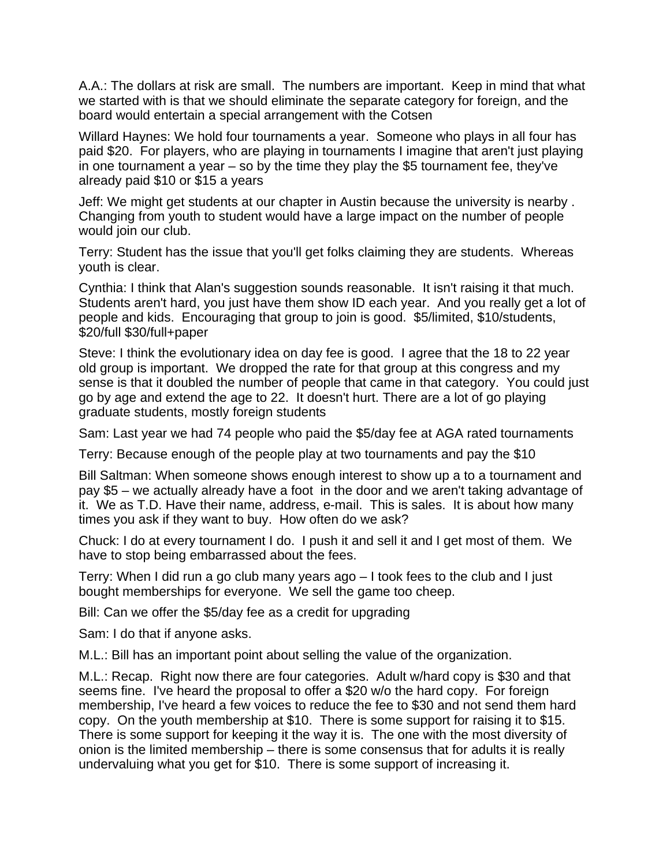A.A.: The dollars at risk are small. The numbers are important. Keep in mind that what we started with is that we should eliminate the separate category for foreign, and the board would entertain a special arrangement with the Cotsen

Willard Haynes: We hold four tournaments a year. Someone who plays in all four has paid \$20. For players, who are playing in tournaments I imagine that aren't just playing in one tournament a year – so by the time they play the \$5 tournament fee, they've already paid \$10 or \$15 a years

Jeff: We might get students at our chapter in Austin because the university is nearby . Changing from youth to student would have a large impact on the number of people would join our club.

Terry: Student has the issue that you'll get folks claiming they are students. Whereas youth is clear.

Cynthia: I think that Alan's suggestion sounds reasonable. It isn't raising it that much. Students aren't hard, you just have them show ID each year. And you really get a lot of people and kids. Encouraging that group to join is good. \$5/limited, \$10/students, \$20/full \$30/full+paper

Steve: I think the evolutionary idea on day fee is good. I agree that the 18 to 22 year old group is important. We dropped the rate for that group at this congress and my sense is that it doubled the number of people that came in that category. You could just go by age and extend the age to 22. It doesn't hurt. There are a lot of go playing graduate students, mostly foreign students

Sam: Last year we had 74 people who paid the \$5/day fee at AGA rated tournaments

Terry: Because enough of the people play at two tournaments and pay the \$10

Bill Saltman: When someone shows enough interest to show up a to a tournament and pay \$5 – we actually already have a foot in the door and we aren't taking advantage of it. We as T.D. Have their name, address, e-mail. This is sales. It is about how many times you ask if they want to buy. How often do we ask?

Chuck: I do at every tournament I do. I push it and sell it and I get most of them. We have to stop being embarrassed about the fees.

Terry: When I did run a go club many years ago – I took fees to the club and I just bought memberships for everyone. We sell the game too cheep.

Bill: Can we offer the \$5/day fee as a credit for upgrading

Sam: I do that if anyone asks.

M.L.: Bill has an important point about selling the value of the organization.

M.L.: Recap. Right now there are four categories. Adult w/hard copy is \$30 and that seems fine. I've heard the proposal to offer a \$20 w/o the hard copy. For foreign membership, I've heard a few voices to reduce the fee to \$30 and not send them hard copy. On the youth membership at \$10. There is some support for raising it to \$15. There is some support for keeping it the way it is. The one with the most diversity of onion is the limited membership – there is some consensus that for adults it is really undervaluing what you get for \$10. There is some support of increasing it.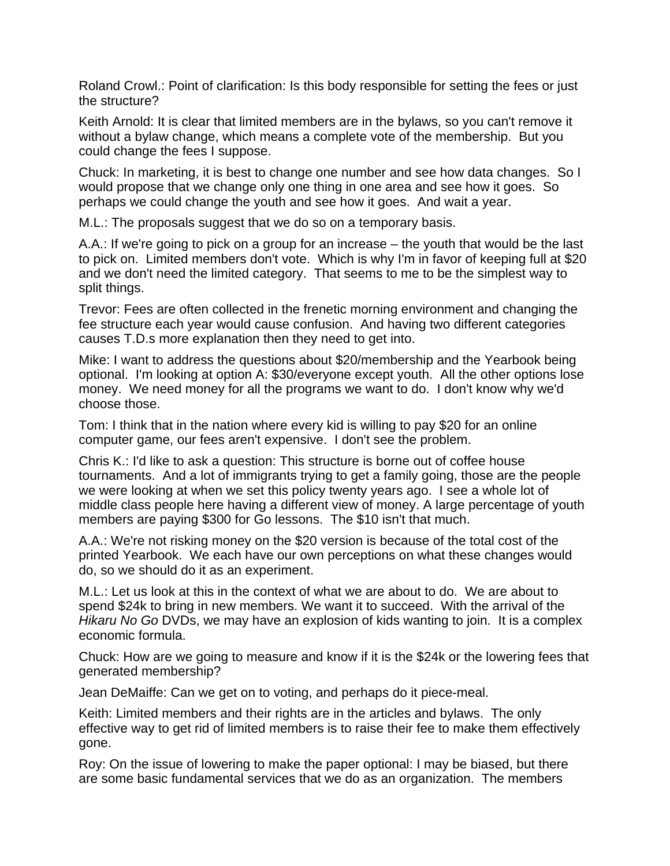Roland Crowl.: Point of clarification: Is this body responsible for setting the fees or just the structure?

Keith Arnold: It is clear that limited members are in the bylaws, so you can't remove it without a bylaw change, which means a complete vote of the membership. But you could change the fees I suppose.

Chuck: In marketing, it is best to change one number and see how data changes. So I would propose that we change only one thing in one area and see how it goes. So perhaps we could change the youth and see how it goes. And wait a year.

M.L.: The proposals suggest that we do so on a temporary basis.

A.A.: If we're going to pick on a group for an increase – the youth that would be the last to pick on. Limited members don't vote. Which is why I'm in favor of keeping full at \$20 and we don't need the limited category. That seems to me to be the simplest way to split things.

Trevor: Fees are often collected in the frenetic morning environment and changing the fee structure each year would cause confusion. And having two different categories causes T.D.s more explanation then they need to get into.

Mike: I want to address the questions about \$20/membership and the Yearbook being optional. I'm looking at option A: \$30/everyone except youth. All the other options lose money. We need money for all the programs we want to do. I don't know why we'd choose those.

Tom: I think that in the nation where every kid is willing to pay \$20 for an online computer game, our fees aren't expensive. I don't see the problem.

Chris K.: I'd like to ask a question: This structure is borne out of coffee house tournaments. And a lot of immigrants trying to get a family going, those are the people we were looking at when we set this policy twenty years ago. I see a whole lot of middle class people here having a different view of money. A large percentage of youth members are paying \$300 for Go lessons. The \$10 isn't that much.

A.A.: We're not risking money on the \$20 version is because of the total cost of the printed Yearbook. We each have our own perceptions on what these changes would do, so we should do it as an experiment.

M.L.: Let us look at this in the context of what we are about to do. We are about to spend \$24k to bring in new members. We want it to succeed. With the arrival of the *Hikaru No Go* DVDs, we may have an explosion of kids wanting to join. It is a complex economic formula.

Chuck: How are we going to measure and know if it is the \$24k or the lowering fees that generated membership?

Jean DeMaiffe: Can we get on to voting, and perhaps do it piece-meal.

Keith: Limited members and their rights are in the articles and bylaws. The only effective way to get rid of limited members is to raise their fee to make them effectively gone.

Roy: On the issue of lowering to make the paper optional: I may be biased, but there are some basic fundamental services that we do as an organization. The members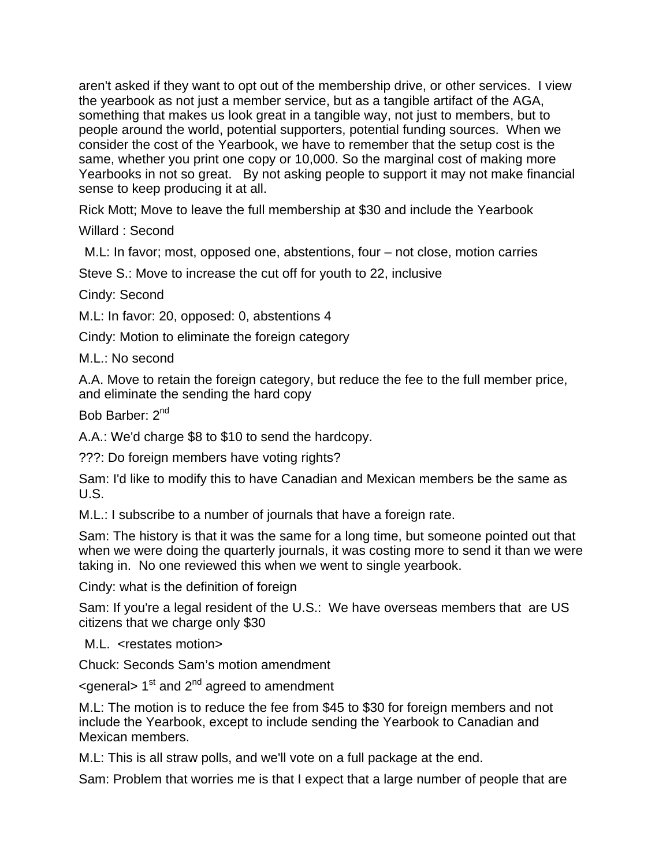aren't asked if they want to opt out of the membership drive, or other services. I view the yearbook as not just a member service, but as a tangible artifact of the AGA, something that makes us look great in a tangible way, not just to members, but to people around the world, potential supporters, potential funding sources. When we consider the cost of the Yearbook, we have to remember that the setup cost is the same, whether you print one copy or 10,000. So the marginal cost of making more Yearbooks in not so great. By not asking people to support it may not make financial sense to keep producing it at all.

Rick Mott; Move to leave the full membership at \$30 and include the Yearbook

Willard : Second

M.L: In favor; most, opposed one, abstentions, four – not close, motion carries

Steve S.: Move to increase the cut off for youth to 22, inclusive

Cindy: Second

M.L: In favor: 20, opposed: 0, abstentions 4

Cindy: Motion to eliminate the foreign category

M.L.: No second

A.A. Move to retain the foreign category, but reduce the fee to the full member price, and eliminate the sending the hard copy

Bob Barber: 2<sup>nd</sup>

A.A.: We'd charge \$8 to \$10 to send the hardcopy.

???: Do foreign members have voting rights?

Sam: I'd like to modify this to have Canadian and Mexican members be the same as U.S.

M.L.: I subscribe to a number of journals that have a foreign rate.

Sam: The history is that it was the same for a long time, but someone pointed out that when we were doing the quarterly journals, it was costing more to send it than we were taking in. No one reviewed this when we went to single yearbook.

Cindy: what is the definition of foreign

Sam: If you're a legal resident of the U.S.: We have overseas members that are US citizens that we charge only \$30

M.L. <restates motion>

Chuck: Seconds Sam's motion amendment

 $\leq$  qeneral  $> 1<sup>st</sup>$  and  $2<sup>nd</sup>$  agreed to amendment

M.L: The motion is to reduce the fee from \$45 to \$30 for foreign members and not include the Yearbook, except to include sending the Yearbook to Canadian and Mexican members.

M.L: This is all straw polls, and we'll vote on a full package at the end.

Sam: Problem that worries me is that I expect that a large number of people that are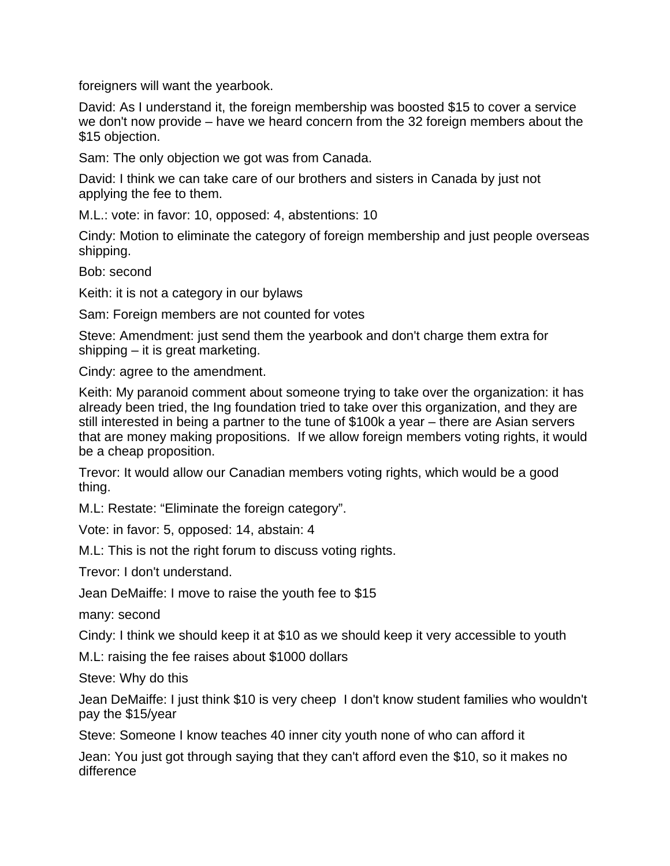foreigners will want the yearbook.

David: As I understand it, the foreign membership was boosted \$15 to cover a service we don't now provide – have we heard concern from the 32 foreign members about the \$15 objection.

Sam: The only objection we got was from Canada.

David: I think we can take care of our brothers and sisters in Canada by just not applying the fee to them.

M.L.: vote: in favor: 10, opposed: 4, abstentions: 10

Cindy: Motion to eliminate the category of foreign membership and just people overseas shipping.

Bob: second

Keith: it is not a category in our bylaws

Sam: Foreign members are not counted for votes

Steve: Amendment: just send them the yearbook and don't charge them extra for shipping – it is great marketing.

Cindy: agree to the amendment.

Keith: My paranoid comment about someone trying to take over the organization: it has already been tried, the Ing foundation tried to take over this organization, and they are still interested in being a partner to the tune of \$100k a year – there are Asian servers that are money making propositions. If we allow foreign members voting rights, it would be a cheap proposition.

Trevor: It would allow our Canadian members voting rights, which would be a good thing.

M.L: Restate: "Eliminate the foreign category".

Vote: in favor: 5, opposed: 14, abstain: 4

M.L: This is not the right forum to discuss voting rights.

Trevor: I don't understand.

Jean DeMaiffe: I move to raise the youth fee to \$15

many: second

Cindy: I think we should keep it at \$10 as we should keep it very accessible to youth

M.L: raising the fee raises about \$1000 dollars

Steve: Why do this

Jean DeMaiffe: I just think \$10 is very cheep I don't know student families who wouldn't pay the \$15/year

Steve: Someone I know teaches 40 inner city youth none of who can afford it

Jean: You just got through saying that they can't afford even the \$10, so it makes no difference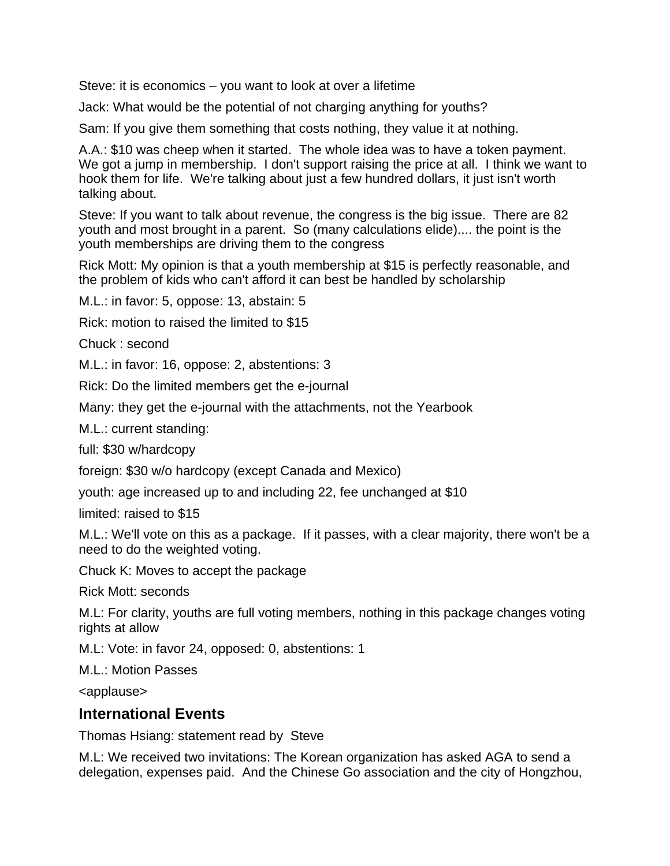Steve: it is economics – you want to look at over a lifetime

Jack: What would be the potential of not charging anything for youths?

Sam: If you give them something that costs nothing, they value it at nothing.

A.A.: \$10 was cheep when it started. The whole idea was to have a token payment. We got a jump in membership. I don't support raising the price at all. I think we want to hook them for life. We're talking about just a few hundred dollars, it just isn't worth talking about.

Steve: If you want to talk about revenue, the congress is the big issue. There are 82 youth and most brought in a parent. So (many calculations elide).... the point is the youth memberships are driving them to the congress

Rick Mott: My opinion is that a youth membership at \$15 is perfectly reasonable, and the problem of kids who can't afford it can best be handled by scholarship

M.L.: in favor: 5, oppose: 13, abstain: 5

Rick: motion to raised the limited to \$15

Chuck : second

M.L.: in favor: 16, oppose: 2, abstentions: 3

Rick: Do the limited members get the e-journal

Many: they get the e-journal with the attachments, not the Yearbook

M.L.: current standing:

full: \$30 w/hardcopy

foreign: \$30 w/o hardcopy (except Canada and Mexico)

youth: age increased up to and including 22, fee unchanged at \$10

limited: raised to \$15

M.L.: We'll vote on this as a package. If it passes, with a clear majority, there won't be a need to do the weighted voting.

Chuck K: Moves to accept the package

Rick Mott: seconds

M.L: For clarity, youths are full voting members, nothing in this package changes voting rights at allow

M.L: Vote: in favor 24, opposed: 0, abstentions: 1

M.L.: Motion Passes

<applause>

#### **International Events**

Thomas Hsiang: statement read by Steve

M.L: We received two invitations: The Korean organization has asked AGA to send a delegation, expenses paid. And the Chinese Go association and the city of Hongzhou,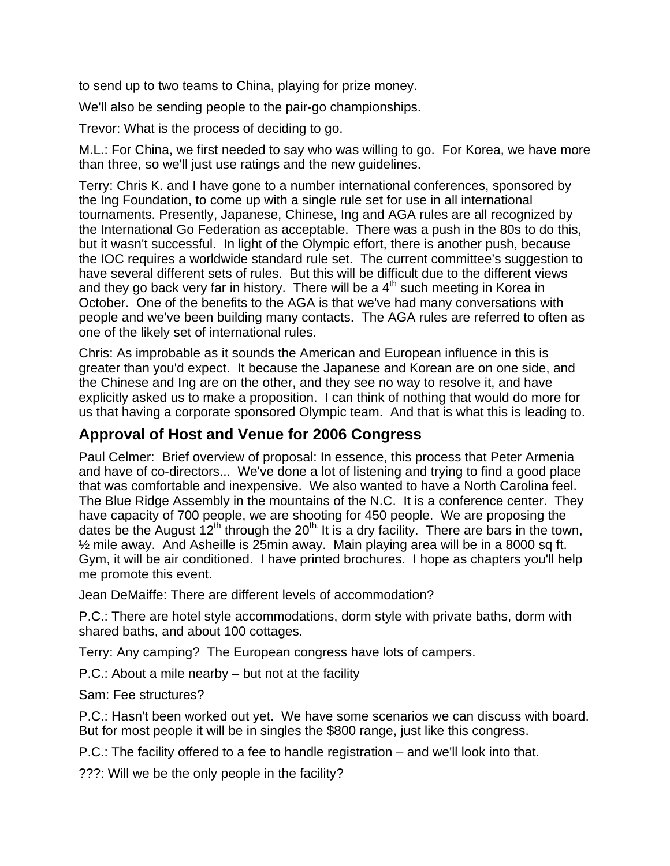to send up to two teams to China, playing for prize money.

We'll also be sending people to the pair-go championships.

Trevor: What is the process of deciding to go.

M.L.: For China, we first needed to say who was willing to go. For Korea, we have more than three, so we'll just use ratings and the new guidelines.

Terry: Chris K. and I have gone to a number international conferences, sponsored by the Ing Foundation, to come up with a single rule set for use in all international tournaments. Presently, Japanese, Chinese, Ing and AGA rules are all recognized by the International Go Federation as acceptable. There was a push in the 80s to do this, but it wasn't successful. In light of the Olympic effort, there is another push, because the IOC requires a worldwide standard rule set. The current committee's suggestion to have several different sets of rules. But this will be difficult due to the different views and they go back very far in history. There will be a  $4<sup>th</sup>$  such meeting in Korea in October. One of the benefits to the AGA is that we've had many conversations with people and we've been building many contacts. The AGA rules are referred to often as one of the likely set of international rules.

Chris: As improbable as it sounds the American and European influence in this is greater than you'd expect. It because the Japanese and Korean are on one side, and the Chinese and Ing are on the other, and they see no way to resolve it, and have explicitly asked us to make a proposition. I can think of nothing that would do more for us that having a corporate sponsored Olympic team. And that is what this is leading to.

## **Approval of Host and Venue for 2006 Congress**

Paul Celmer: Brief overview of proposal: In essence, this process that Peter Armenia and have of co-directors... We've done a lot of listening and trying to find a good place that was comfortable and inexpensive. We also wanted to have a North Carolina feel. The Blue Ridge Assembly in the mountains of the N.C. It is a conference center. They have capacity of 700 people, we are shooting for 450 people. We are proposing the dates be the August  $12<sup>th</sup>$  through the  $20<sup>th</sup>$ . It is a dry facility. There are bars in the town, ½ mile away. And Asheille is 25min away. Main playing area will be in a 8000 sq ft. Gym, it will be air conditioned. I have printed brochures. I hope as chapters you'll help me promote this event.

Jean DeMaiffe: There are different levels of accommodation?

P.C.: There are hotel style accommodations, dorm style with private baths, dorm with shared baths, and about 100 cottages.

Terry: Any camping? The European congress have lots of campers.

P.C.: About a mile nearby – but not at the facility

Sam: Fee structures?

P.C.: Hasn't been worked out yet. We have some scenarios we can discuss with board. But for most people it will be in singles the \$800 range, just like this congress.

P.C.: The facility offered to a fee to handle registration – and we'll look into that.

???: Will we be the only people in the facility?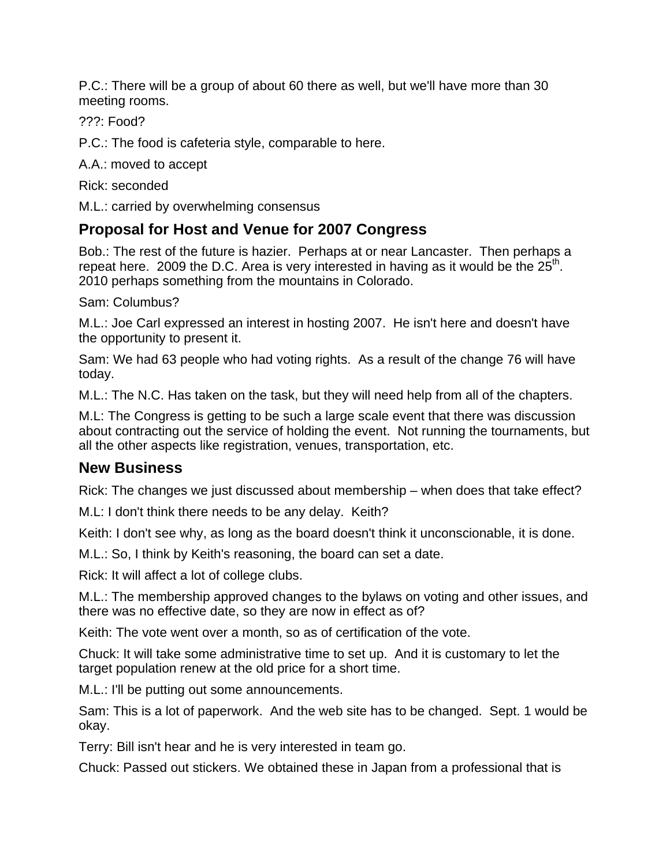P.C.: There will be a group of about 60 there as well, but we'll have more than 30 meeting rooms.

???: Food?

P.C.: The food is cafeteria style, comparable to here.

A.A.: moved to accept

Rick: seconded

M.L.: carried by overwhelming consensus

## **Proposal for Host and Venue for 2007 Congress**

Bob.: The rest of the future is hazier. Perhaps at or near Lancaster. Then perhaps a repeat here. 2009 the D.C. Area is very interested in having as it would be the  $25<sup>th</sup>$ . 2010 perhaps something from the mountains in Colorado.

Sam: Columbus?

M.L.: Joe Carl expressed an interest in hosting 2007. He isn't here and doesn't have the opportunity to present it.

Sam: We had 63 people who had voting rights. As a result of the change 76 will have today.

M.L.: The N.C. Has taken on the task, but they will need help from all of the chapters.

M.L: The Congress is getting to be such a large scale event that there was discussion about contracting out the service of holding the event. Not running the tournaments, but all the other aspects like registration, venues, transportation, etc.

## **New Business**

Rick: The changes we just discussed about membership – when does that take effect?

M.L: I don't think there needs to be any delay. Keith?

Keith: I don't see why, as long as the board doesn't think it unconscionable, it is done.

M.L.: So, I think by Keith's reasoning, the board can set a date.

Rick: It will affect a lot of college clubs.

M.L.: The membership approved changes to the bylaws on voting and other issues, and there was no effective date, so they are now in effect as of?

Keith: The vote went over a month, so as of certification of the vote.

Chuck: It will take some administrative time to set up. And it is customary to let the target population renew at the old price for a short time.

M.L.: I'll be putting out some announcements.

Sam: This is a lot of paperwork. And the web site has to be changed. Sept. 1 would be okay.

Terry: Bill isn't hear and he is very interested in team go.

Chuck: Passed out stickers. We obtained these in Japan from a professional that is